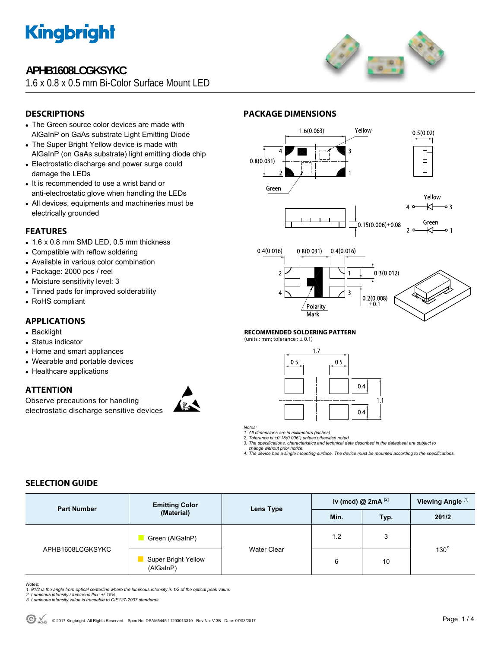

## **APHB1608LCGKSYKC**

1.6 x 0.8 x 0.5 mm Bi-Color Surface Mount LED



## **DESCRIPTIONS**

- The Green source color devices are made with AlGaInP on GaAs substrate Light Emitting Diode
- The Super Bright Yellow device is made with AlGaInP (on GaAs substrate) light emitting diode chip
- Electrostatic discharge and power surge could damage the LEDs
- It is recommended to use a wrist band or anti-electrostatic glove when handling the LEDs
- All devices, equipments and machineries must be electrically grounded

### **FEATURES**

- $\bullet$  1.6 x 0.8 mm SMD LED, 0.5 mm thickness
- Compatible with reflow soldering
- Available in various color combination
- Package: 2000 pcs / reel
- Moisture sensitivity level: 3
- Tinned pads for improved solderability
- RoHS compliant

## **APPLICATIONS**

- Backlight
- Status indicator
- Home and smart appliances
- Wearable and portable devices
- Healthcare applications

### **ATTENTION**

Observe precautions for handling electrostatic discharge sensitive devices









#### **RECOMMENDED SOLDERING PATTERN**

**PACKAGE DIMENSIONS** 

(units : mm; tolerance :  $\pm$  0.1)



*Notes:* 

*1. All dimensions are in millimeters (inches). 2. Tolerance is ±0.15(0.006") unless otherwise noted.* 

*3. The specifications, characteristics and technical data described in the datasheet are subject to change without prior notice.* 

*4. The device has a single mounting surface. The device must be mounted according to the specifications.* 

### **SELECTION GUIDE**

| <b>Part Number</b> | <b>Emitting Color</b><br>(Material) | Lens Type   | Iv (mcd) @ $2mA$ <sup>[2]</sup> |      | Viewing Angle <sup>[1]</sup> |  |
|--------------------|-------------------------------------|-------------|---------------------------------|------|------------------------------|--|
|                    |                                     |             | Min.                            | Typ. | 201/2                        |  |
| APHB1608LCGKSYKC   | Green (AlGaInP)                     |             | 1.2                             | 3    | $130^\circ$                  |  |
|                    | Super Bright Yellow<br>(AlGaInP)    | Water Clear | 6                               | 10   |                              |  |

*Notes:* 

*1. θ1/2 is the angle from optical centerline where the luminous intensity is 1/2 of the optical peak value. 2. Luminous intensity / luminous flux: +/-15%.* 

- 
- *3. Luminous intensity value is traceable to CIE127-2007 standards.*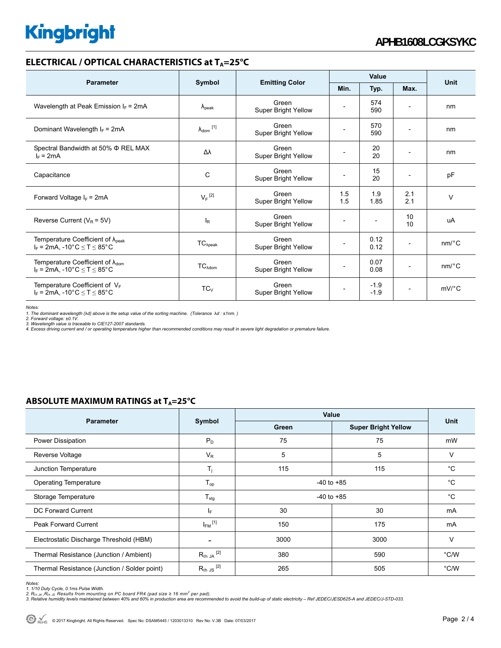# **Kingbright**

## **ELECTRICAL / OPTICAL CHARACTERISTICS at TA=25°C**

| <b>Parameter</b>                                                                             | Symbol                                  | <b>Emitting Color</b>               | Value      |                  |            |                       |
|----------------------------------------------------------------------------------------------|-----------------------------------------|-------------------------------------|------------|------------------|------------|-----------------------|
|                                                                                              |                                         |                                     | Min.       | Typ.             | Max.       | <b>Unit</b>           |
| Wavelength at Peak Emission $I_F$ = 2mA                                                      | $\Lambda_{\rm peak}$                    | Green<br>Super Bright Yellow        |            | 574<br>590       |            | nm                    |
| Dominant Wavelength $I_F = 2mA$                                                              | $\lambda_{\text{dom}}$ [1]              | Green<br><b>Super Bright Yellow</b> |            | 570<br>590       |            | nm                    |
| Spectral Bandwidth at 50% Φ REL MAX<br>$I_F = 2mA$                                           | Δλ                                      | Green<br>Super Bright Yellow        |            | 20<br>20         |            | nm                    |
| Capacitance                                                                                  | C                                       | Green<br>Super Bright Yellow        |            | 15<br>20         |            | pF                    |
| Forward Voltage $I_F$ = 2mA                                                                  | $V_F$ <sup>[2]</sup>                    | Green<br><b>Super Bright Yellow</b> | 1.5<br>1.5 | 1.9<br>1.85      | 2.1<br>2.1 | $\vee$                |
| Reverse Current ( $V_R$ = 5V)                                                                | $I_R$                                   | Green<br>Super Bright Yellow        |            |                  | 10<br>10   | uA                    |
| Temperature Coefficient of $\lambda_{\text{peak}}$<br>$I_F$ = 2mA, -10°C $\leq T \leq 85$ °C | $TC_{\lambda peak}$                     | Green<br>Super Bright Yellow        |            | 0.12<br>0.12     |            | $nm$ <sup>o</sup> $C$ |
| Temperature Coefficient of $\lambda_{\text{dom}}$<br>$I_F = 2mA$ , -10°C $\le T \le 85$ °C   | $TC$ <sub><math>\lambda</math>dom</sub> | Green<br>Super Bright Yellow        |            | 0.07<br>0.08     |            | $nm$ /°C              |
| Temperature Coefficient of $V_F$<br>$I_F$ = 2mA, -10°C $\leq T \leq 85$ °C                   | $TC_V$                                  | Green<br><b>Super Bright Yellow</b> |            | $-1.9$<br>$-1.9$ |            | $mV$ <sup>o</sup> $C$ |

*Notes:* 

1. The dominant wavelength (λd) above is the setup value of the sorting machine. (Tolerance λd : ±1nm. )<br>2. Forward voltage: ±0.1V.<br>3. Wavelength value is traceable to CIE127-2007 standards.<br>4. Excess driving current and

### **ABSOLUTE MAXIMUM RATINGS at T<sub>A</sub>=25°C**

|                                              |                         | Value          |                            |             |  |
|----------------------------------------------|-------------------------|----------------|----------------------------|-------------|--|
| <b>Parameter</b>                             | Symbol                  | Green          | <b>Super Bright Yellow</b> | <b>Unit</b> |  |
| Power Dissipation                            | $P_D$                   | 75             | 75                         | mW          |  |
| Reverse Voltage                              | $V_{R}$                 | 5              | 5                          | v           |  |
| Junction Temperature                         | $T_i$                   | 115            | 115                        | $^{\circ}C$ |  |
| <b>Operating Temperature</b>                 | $T_{op}$                | $-40$ to $+85$ | $^{\circ}C$                |             |  |
| Storage Temperature                          | $T_{\text{stg}}$        | $-40$ to $+85$ | $^{\circ}C$                |             |  |
| DC Forward Current                           | IF.                     | 30<br>30       |                            | mA          |  |
| <b>Peak Forward Current</b>                  | $I_{FM}$ <sup>[1]</sup> | 150<br>175     |                            | mA          |  |
| Electrostatic Discharge Threshold (HBM)      |                         | 3000           | 3000                       | v           |  |
| Thermal Resistance (Junction / Ambient)      | $R_{th}$ ja $^{[2]}$    | 380<br>590     |                            | °C/W        |  |
| Thermal Resistance (Junction / Solder point) | $R_{th}$ JS $^{[2]}$    | 265            | 505                        | °C/W        |  |

*Notes:* 

1. 1/10 Duty Cycle, 0.1ms Pulse Width.<br>2. R<sub>th Ju</sub> ,R<sub>h JS</sub> Results from mounting on PC board FR4 (pad size ≥ 16 mm² per pad).<br>3. Relative humidity levels maintained between 40% and 60% in production area are recommended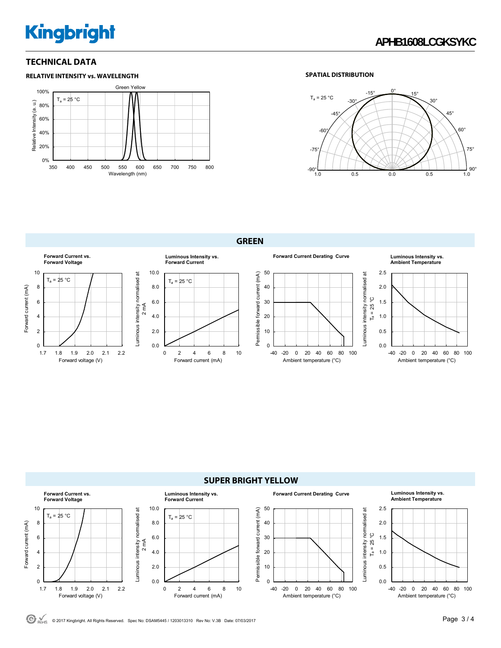# **Kingbright**

### **TECHNICAL DATA**



### **SPATIAL DISTRIBUTION**



**GREEN**